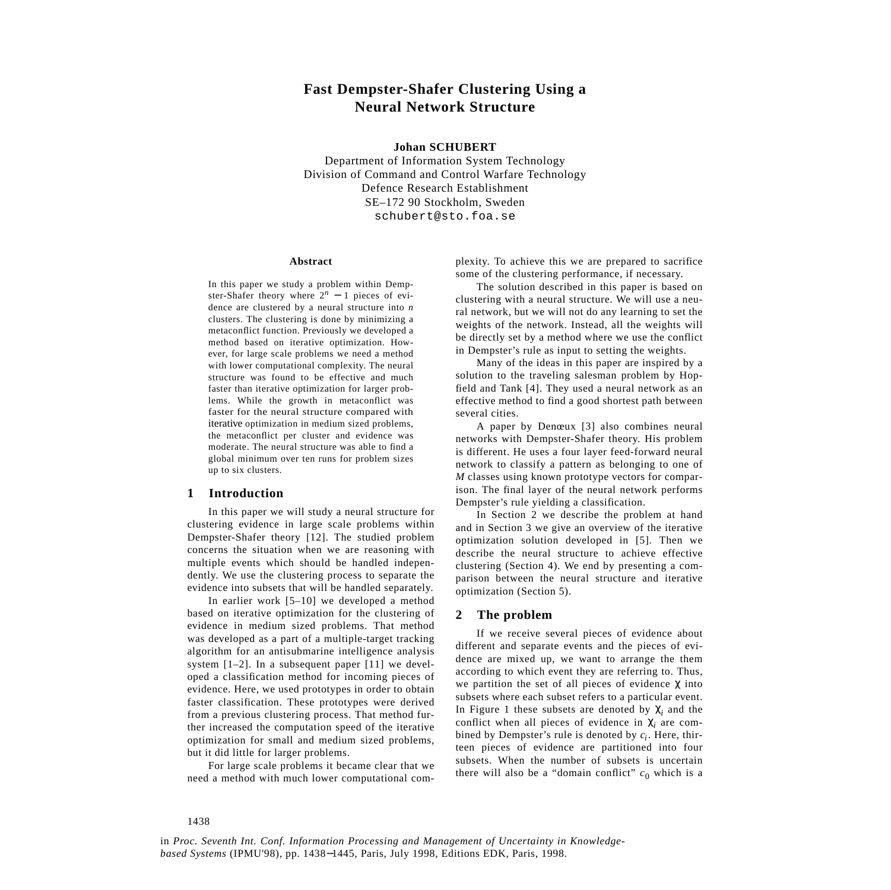# **Fast Dempster-Shafer Clustering Using a Neural Network Structure**

**Johan SCHUBERT**

Department of Information System Technology Division of Command and Control Warfare Technology Defence Research Establishment SE–172 90 Stockholm, Sweden schubert@sto.foa.se

### **Abstract**

In this paper we study a problem within Dempster-Shafer theory where  $2^n - 1$  pieces of evidence are clustered by a neural structure into *n* clusters. The clustering is done by minimizing a metaconflict function. Previously we developed a method based on iterative optimization. However, for large scale problems we need a method with lower computational complexity. The neural structure was found to be effective and much faster than iterative optimization for larger problems. While the growth in metaconflict was faster for the neural structure compared with iterative optimization in medium sized problems, the metaconflict per cluster and evidence was moderate. The neural structure was able to find a global minimum over ten runs for problem sizes up to six clusters.

## **1 Introduction**

In this paper we will study a neural structure for clustering evidence in large scale problems within Dempster-Shafer theory [12]. The studied problem concerns the situation when we are reasoning with multiple events which should be handled independently. We use the clustering process to separate the evidence into subsets that will be handled separately.

In earlier work [5–10] we developed a method based on iterative optimization for the clustering of evidence in medium sized problems. That method was developed as a part of a multiple-target tracking algorithm for an antisubmarine intelligence analysis system  $[1-2]$ . In a subsequent paper  $[11]$  we developed a classification method for incoming pieces of evidence. Here, we used prototypes in order to obtain faster classification. These prototypes were derived from a previous clustering process. That method further increased the computation speed of the iterative optimization for small and medium sized problems, but it did little for larger problems.

For large scale problems it became clear that we need a method with much lower computational complexity. To achieve this we are prepared to sacrifice some of the clustering performance, if necessary.

The solution described in this paper is based on clustering with a neural structure. We will use a neural network, but we will not do any learning to set the weights of the network. Instead, all the weights will be directly set by a method where we use the conflict in Dempster's rule as input to setting the weights.

Many of the ideas in this paper are inspired by a solution to the traveling salesman problem by Hopfield and Tank [4]. They used a neural network as an effective method to find a good shortest path between several cities.

A paper by Denœux [3] also combines neural networks with Dempster-Shafer theory. His problem is different. He uses a four layer feed-forward neural network to classify a pattern as belonging to one of *M* classes using known prototype vectors for comparison. The final layer of the neural network performs Dempster's rule yielding a classification.

In Section 2 we describe the problem at hand and in Section 3 we give an overview of the iterative optimization solution developed in [5]. Then we describe the neural structure to achieve effective clustering (Section 4). We end by presenting a comparison between the neural structure and iterative optimization (Section 5).

#### **2 The problem**

If we receive several pieces of evidence about different and separate events and the pieces of evidence are mixed up, we want to arrange the them according to which event they are referring to. Thus, we partition the set of all pieces of evidence  $\chi$  into subsets where each subset refers to a particular event. In Figure 1 these subsets are denoted by  $\chi_i$  and the conflict when all pieces of evidence in  $\chi_i$  are combined by Dempster's rule is denoted by  $c_i$ . Here, thirteen pieces of evidence are partitioned into four subsets. When the number of subsets is uncertain there will also be a "domain conflict"  $c_0$  which is a

in *Proc. Seventh Int. Conf. Information Processing and Management of Uncertainty in Knowledgebased Systems* (IPMU'98), pp. 1438−1445, Paris, July 1998, Editions EDK, Paris, 1998.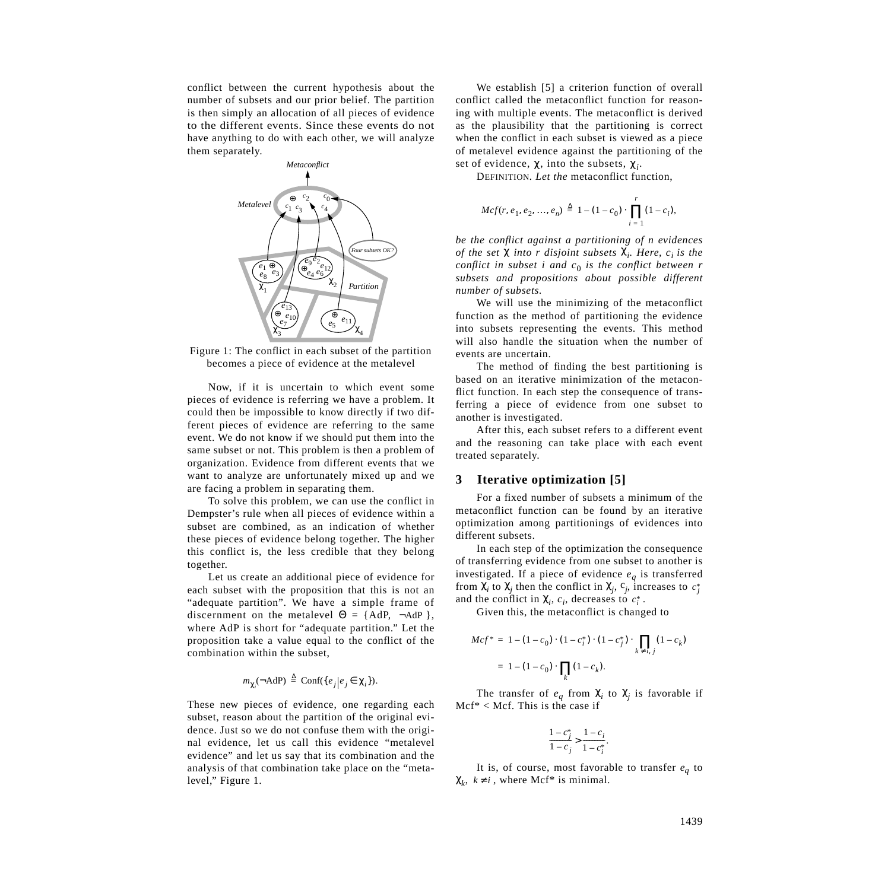conflict between the current hypothesis about the number of subsets and our prior belief. The partition is then simply an allocation of all pieces of evidence to the different events. Since these events do not have anything to do with each other, we will analyze them separately.



Figure 1: The conflict in each subset of the partition becomes a piece of evidence at the metalevel

Now, if it is uncertain to which event some pieces of evidence is referring we have a problem. It could then be impossible to know directly if two different pieces of evidence are referring to the same event. We do not know if we should put them into the same subset or not. This problem is then a problem of organization. Evidence from different events that we want to analyze are unfortunately mixed up and we are facing a problem in separating them.

To solve this problem, we can use the conflict in Dempster's rule when all pieces of evidence within a subset are combined, as an indication of whether these pieces of evidence belong together. The higher this conflict is, the less credible that they belong together.

Let us create an additional piece of evidence for each subset with the proposition that this is not an "adequate partition". We have a simple frame of discernment on the metalevel  $\Theta = \{AdP, -AdP\}$ , where AdP is short for "adequate partition." Let the proposition take a value equal to the conflict of the combination within the subset,

$$
m_{\chi_i}(\neg \text{AdP}) \stackrel{\Delta}{=} \text{Conf}(\{e_j \mid e_j \in \chi_i\}).
$$

These new pieces of evidence, one regarding each subset, reason about the partition of the original evidence. Just so we do not confuse them with the original evidence, let us call this evidence "metalevel evidence" and let us say that its combination and the analysis of that combination take place on the "metalevel," Figure 1.

We establish [5] a criterion function of overall conflict called the metaconflict function for reasoning with multiple events. The metaconflict is derived as the plausibility that the partitioning is correct when the conflict in each subset is viewed as a piece of metalevel evidence against the partitioning of the set of evidence, χ, into the subsets, χ*i*.

DEFINITION*. Let the* metaconflict function,

$$
Mcf(r, e_1, e_2, ..., e_n) \triangleq 1 - (1 - c_0) \cdot \prod_{i=1}^r (1 - c_i),
$$

*be the conflict against a partitioning of n evidences of the set*  $\chi$  *into r disjoint subsets*  $\chi_i$ *. Here, c<sub>i</sub> is the conflict in subset i and c*<sup>0</sup> *is the conflict between r subsets and propositions about possible different number of subsets.*

We will use the minimizing of the metaconflict function as the method of partitioning the evidence into subsets representing the events. This method will also handle the situation when the number of events are uncertain.

The method of finding the best partitioning is based on an iterative minimization of the metaconflict function. In each step the consequence of transferring a piece of evidence from one subset to another is investigated.

After this, each subset refers to a different event and the reasoning can take place with each event treated separately.

## **3 Iterative optimization [5]**

For a fixed number of subsets a minimum of the metaconflict function can be found by an iterative optimization among partitionings of evidences into different subsets.

In each step of the optimization the consequence of transferring evidence from one subset to another is investigated. If a piece of evidence  $e_q$  is transferred from  $\chi_i$  to  $\chi_j$  then the conflict in  $\chi_j$ ,  $c_j$ , increases to  $c_j$ and the conflict in  $\chi_i$ ,  $c_i$ , decreases to  $c_i^*$ .

Given this, the metaconflict is changed to

$$
Mcf^* = 1 - (1 - c_0) \cdot (1 - c_i^*) \cdot (1 - c_j^*) \cdot \prod_{k \neq i, j} (1 - c_k)
$$
  
= 1 - (1 - c\_0) \cdot \prod\_k (1 - c\_k).

The transfer of  $e_q$  from  $\chi_i$  to  $\chi_j$  is favorable if Mcf\* < Mcf. This is the case if

$$
\frac{1-c_j^*}{1-c_j} > \frac{1-c_i}{1-c_i^*}.
$$

It is, of course, most favorable to transfer  $e_q$  to  $\chi_k$ ,  $k \neq i$ , where Mcf<sup>\*</sup> is minimal.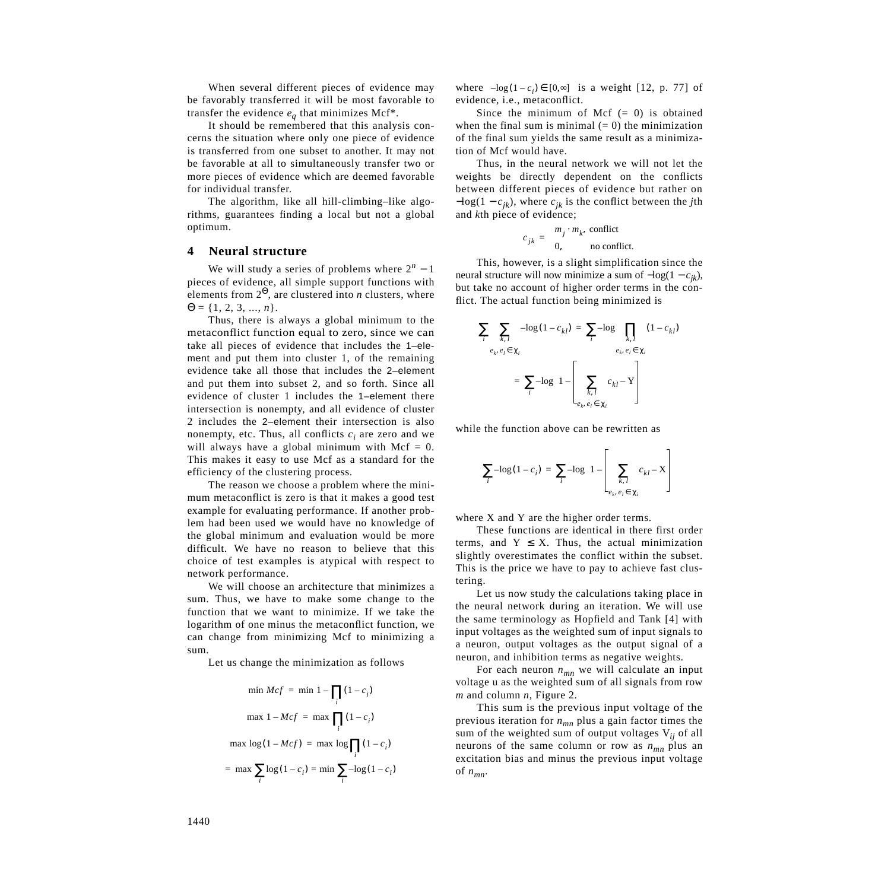When several different pieces of evidence may be favorably transferred it will be most favorable to transfer the evidence  $e_q$  that minimizes Mcf<sup>\*</sup>.

It should be remembered that this analysis concerns the situation where only one piece of evidence is transferred from one subset to another. It may not be favorable at all to simultaneously transfer two or more pieces of evidence which are deemed favorable for individual transfer.

The algorithm, like all hill-climbing–like algorithms, guarantees finding a local but not a global optimum.

## **4 Neural structure**

We will study a series of problems where  $2^n - 1$ pieces of evidence, all simple support functions with elements from  $2^{\Theta}$ , are clustered into *n* clusters, where  $\Theta = \{1, 2, 3, ..., n\}.$ 

Thus, there is always a global minimum to the metaconflict function equal to zero, since we can take all pieces of evidence that includes the 1–element and put them into cluster 1, of the remaining evidence take all those that includes the 2–element and put them into subset 2, and so forth. Since all evidence of cluster 1 includes the 1–element there intersection is nonempty, and all evidence of cluster 2 includes the 2–element their intersection is also nonempty, etc. Thus, all conflicts  $c_i$  are zero and we will always have a global minimum with  $Mcf = 0$ . This makes it easy to use Mcf as a standard for the efficiency of the clustering process.

The reason we choose a problem where the minimum metaconflict is zero is that it makes a good test example for evaluating performance. If another problem had been used we would have no knowledge of the global minimum and evaluation would be more difficult. We have no reason to believe that this choice of test examples is atypical with respect to network performance.

We will choose an architecture that minimizes a sum. Thus, we have to make some change to the function that we want to minimize. If we take the logarithm of one minus the metaconflict function, we can change from minimizing Mcf to minimizing a sum.

Let us change the minimization as follows

$$
\min Mcf = \min 1 - \prod_{i} (1 - c_i)
$$
  

$$
\max 1 - Mcf = \max \prod_{i} (1 - c_i)
$$
  

$$
\max \log(1 - Mcf) = \max \log \prod_{i} (1 - c_i)
$$
  

$$
= \max \sum_{i} \log(1 - c_i) = \min \sum_{i} -\log(1 - c_i)
$$

where  $-\log(1 - c_i) \in [0, \infty]$  is a weight [12, p. 77] of evidence, i.e., metaconflict.

Since the minimum of Mcf  $(= 0)$  is obtained when the final sum is minimal  $(= 0)$  the minimization of the final sum yields the same result as a minimization of Mcf would have.

Thus, in the neural network we will not let the weights be directly dependent on the conflicts between different pieces of evidence but rather on  $-\log(1 - c_{ik})$ , where  $c_{ik}$  is the conflict between the *j*th and *k*th piece of evidence;

$$
c_{jk} = \begin{cases} m_j \cdot m_k, \text{ conflict} \\ 0, \text{ no conflict.} \end{cases}
$$

This, however, is a slight simplification since the neural structure will now minimize a sum of  $-\log(1 - c_{ik})$ , but take no account of higher order terms in the conflict. The actual function being minimized is

$$
\sum_{i} \sum_{k, l} -\log(1 - c_{kl}) = \sum_{i} -\log \prod_{k, l} (1 - c_{kl})
$$

$$
= \sum_{i} -\log \left(1 - \left[\sum_{k, l} c_{kl} - Y\right]\right)
$$

$$
= \sum_{i} -\log \left(1 - \left[\sum_{e_k, e_l \in \chi_i} c_{kl} - Y\right]\right)
$$

while the function above can be rewritten as

$$
\sum_{i} -\log(1 - c_i) = \sum_{i} -\log\left(1 - \left[\sum_{\substack{k,l \ k \in e_{k} \in \mathcal{X}_{i}}} c_{kl} - X\right]\right)
$$

where X and Y are the higher order terms.

These functions are identical in there first order terms, and  $Y \leq X$ . Thus, the actual minimization slightly overestimates the conflict within the subset. This is the price we have to pay to achieve fast clustering.

Let us now study the calculations taking place in the neural network during an iteration. We will use the same terminology as Hopfield and Tank [4] with input voltages as the weighted sum of input signals to a neuron, output voltages as the output signal of a neuron, and inhibition terms as negative weights.

For each neuron  $n_{mn}$  we will calculate an input voltage u as the weighted sum of all signals from row *m* and column *n*, Figure 2.

This sum is the previous input voltage of the previous iteration for  $n_{mn}$  plus a gain factor times the sum of the weighted sum of output voltages  $V_{ii}$  of all neurons of the same column or row as  $n_{mn}$  plus an excitation bias and minus the previous input voltage of  $n_{mn}$ .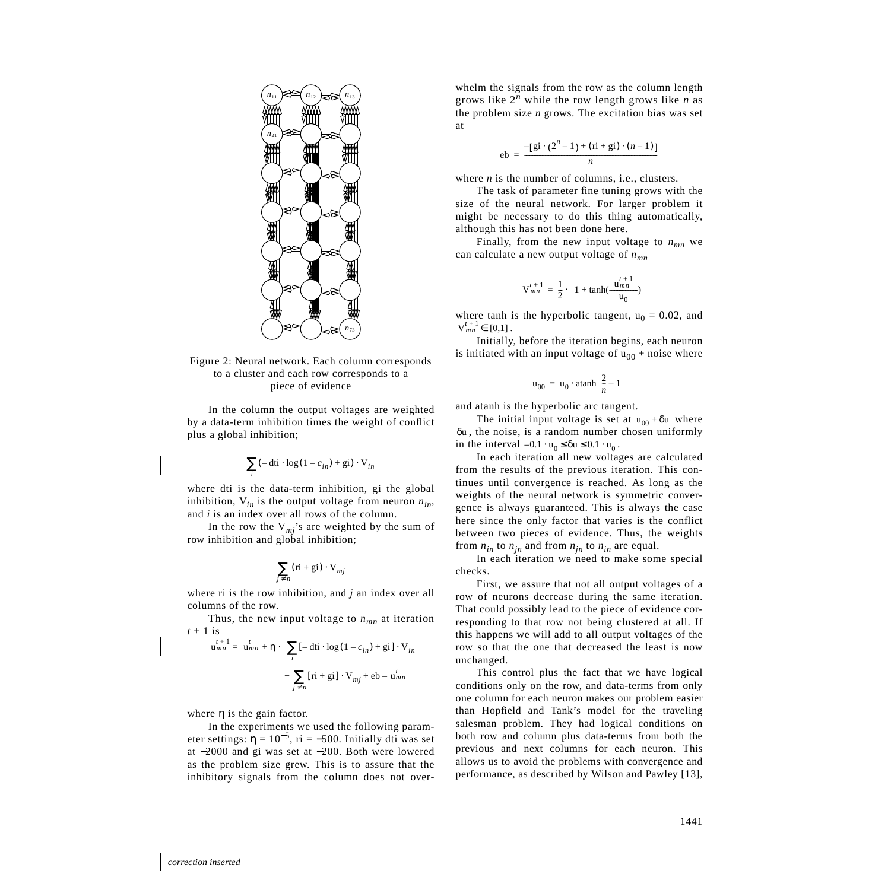

Figure 2: Neural network. Each column corresponds to a cluster and each row corresponds to a piece of evidence

In the column the output voltages are weighted by a data-term inhibition times the weight of conflict plus a global inhibition;

$$
\sum_{i} (-\mathrm{d} \mathrm{i} \cdot \log(1 - c_{in}) + \mathrm{gi}) \cdot \mathrm{V}_{in}
$$

where dti is the data-term inhibition, gi the global inhibition,  $V_{in}$  is the output voltage from neuron  $n_{in}$ , and *i* is an index over all rows of the column.

In the row the  $V_{mi}$ 's are weighted by the sum of row inhibition and global inhibition;

$$
\sum_{j \neq n} (\text{ri} + \text{gi}) \cdot \text{V}_{mj}
$$

where ri is the row inhibition, and *j* an index over all columns of the row.

Thus, the new input voltage to  $n_{mn}$  at iteration  $t + 1$  is

$$
\mathbf{u}_{mn}^{t+1} = \mathbf{u}_{mn}^t + \eta \cdot \left( \sum_i \left[ -\det \cdot \log(1 - c_{in}) + \text{gi} \right] \cdot \mathbf{V}_{in} + \sum_{j \neq n} \left[ \text{ri} + \text{gi} \right] \cdot \mathbf{V}_{mj} + \text{eb} - \mathbf{u}_{mn}^t \right)
$$

where η is the gain factor.

In the experiments we used the following parameter settings:  $\eta = 10^{-5}$ , ri = -500. Initially dti was set at −2000 and gi was set at −200. Both were lowered as the problem size grew. This is to assure that the inhibitory signals from the column does not over-

whelm the signals from the row as the column length grows like  $2^n$  while the row length grows like *n* as the problem size *n* grows. The excitation bias was set at

$$
eb = \frac{-[gi \cdot (2^{n} - 1) + (ri + gi) \cdot (n - 1)]}{n}
$$

where  $n$  is the number of columns, i.e., clusters.

The task of parameter fine tuning grows with the size of the neural network. For larger problem it might be necessary to do this thing automatically, although this has not been done here.

Finally, from the new input voltage to  $n_{mn}$  we can calculate a new output voltage of  $n_{mn}$ 

$$
\mathbf{V}_{mn}^{t+1} = \frac{1}{2} \cdot \left( 1 + \tanh(\frac{\mathbf{u}_{mn}^{t+1}}{\mathbf{u}_0}) \right)
$$

where tanh is the hyperbolic tangent,  $u_0 = 0.02$ , and  $V_{mn}^{t+1} \in [0,1]$ .

Initially, before the iteration begins, each neuron is initiated with an input voltage of  $u_{00}$  + noise where

$$
\mathbf{u}_{00} = \mathbf{u}_0 \cdot \mathrm{atanh} \left( \frac{2}{n} - 1 \right)
$$

and atanh is the hyperbolic arc tangent.

The initial input voltage is set at  $u_{00} + \delta u$  where , the noise, is a random number chosen uniformly δu in the interval  $-0.1 \cdot u_0 \le \delta u \le 0.1 \cdot u_0$ .

In each iteration all new voltages are calculated from the results of the previous iteration. This continues until convergence is reached. As long as the weights of the neural network is symmetric convergence is always guaranteed. This is always the case here since the only factor that varies is the conflict between two pieces of evidence. Thus, the weights from  $n_{in}$  to  $n_{in}$  and from  $n_{in}$  to  $n_{in}$  are equal.

In each iteration we need to make some special checks.

First, we assure that not all output voltages of a row of neurons decrease during the same iteration. That could possibly lead to the piece of evidence corresponding to that row not being clustered at all. If this happens we will add to all output voltages of the row so that the one that decreased the least is now unchanged.

This control plus the fact that we have logical conditions only on the row, and data-terms from only one column for each neuron makes our problem easier than Hopfield and Tank's model for the traveling salesman problem. They had logical conditions on both row and column plus data-terms from both the previous and next columns for each neuron. This allows us to avoid the problems with convergence and performance, as described by Wilson and Pawley [13],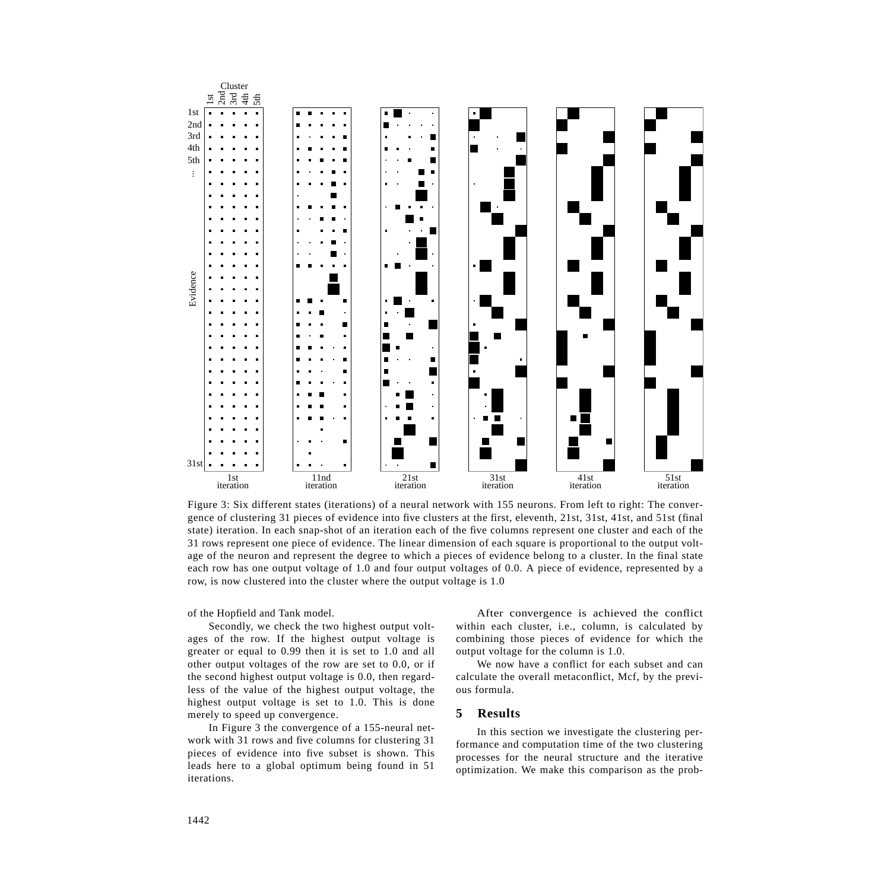

Figure 3: Six different states (iterations) of a neural network with 155 neurons. From left to right: The convergence of clustering 31 pieces of evidence into five clusters at the first, eleventh, 21st, 31st, 41st, and 51st (final state) iteration. In each snap-shot of an iteration each of the five columns represent one cluster and each of the 31 rows represent one piece of evidence. The linear dimension of each square is proportional to the output voltage of the neuron and represent the degree to which a pieces of evidence belong to a cluster. In the final state each row has one output voltage of 1.0 and four output voltages of 0.0. A piece of evidence, represented by a row, is now clustered into the cluster where the output voltage is 1.0

of the Hopfield and Tank model.

Secondly, we check the two highest output voltages of the row. If the highest output voltage is greater or equal to 0.99 then it is set to 1.0 and all other output voltages of the row are set to 0.0, or if the second highest output voltage is 0.0, then regardless of the value of the highest output voltage, the highest output voltage is set to 1.0. This is done merely to speed up convergence.

In Figure 3 the convergence of a 155-neural network with 31 rows and five columns for clustering 31 pieces of evidence into five subset is shown. This leads here to a global optimum being found in 51 iterations.

After convergence is achieved the conflict within each cluster, i.e., column, is calculated by combining those pieces of evidence for which the output voltage for the column is 1.0.

We now have a conflict for each subset and can calculate the overall metaconflict, Mcf, by the previous formula.

## **5 Results**

In this section we investigate the clustering performance and computation time of the two clustering processes for the neural structure and the iterative optimization. We make this comparison as the prob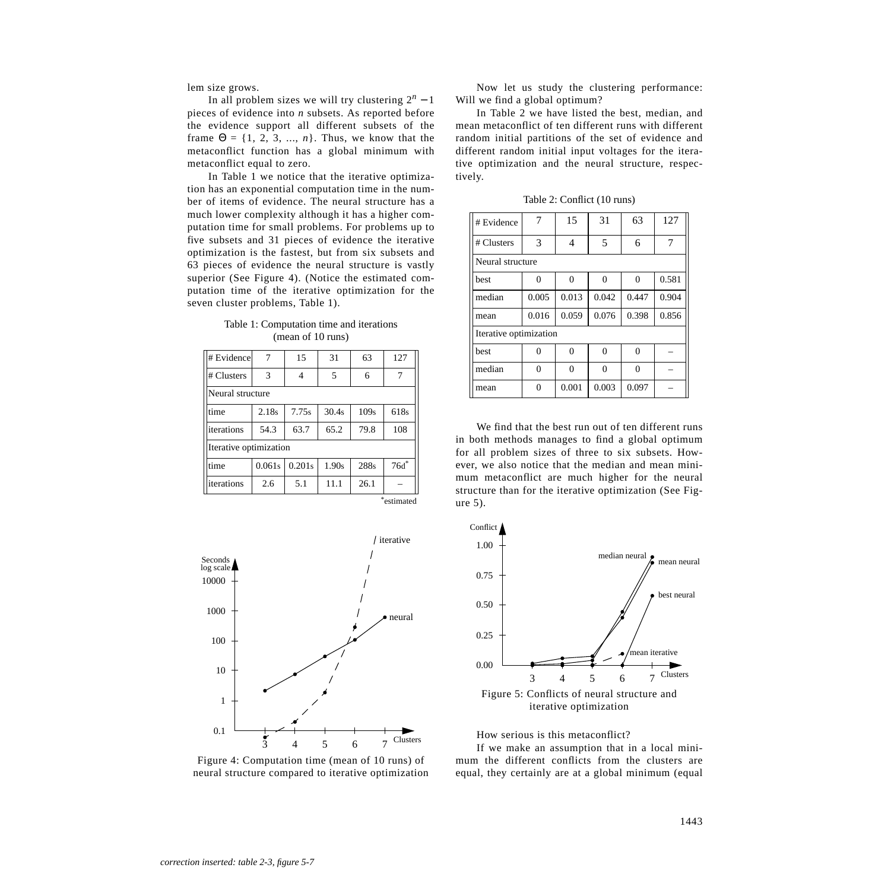lem size grows.

In all problem sizes we will try clustering  $2^n - 1$ pieces of evidence into *n* subsets. As reported before the evidence support all different subsets of the frame  $\Theta = \{1, 2, 3, ..., n\}$ . Thus, we know that the metaconflict function has a global minimum with metaconflict equal to zero.

In Table 1 we notice that the iterative optimization has an exponential computation time in the number of items of evidence. The neural structure has a much lower complexity although it has a higher computation time for small problems. For problems up to five subsets and 31 pieces of evidence the iterative optimization is the fastest, but from six subsets and 63 pieces of evidence the neural structure is vastly superior (See Figure 4). (Notice the estimated computation time of the iterative optimization for the seven cluster problems, Table 1).

Table 1: Computation time and iterations (mean of 10 runs)

| # Evidence             | 7      | 15     | 31    | 63   | 127     |  |
|------------------------|--------|--------|-------|------|---------|--|
| # Clusters             | 3      | 4      | 5     | 6    | 7       |  |
| Neural structure       |        |        |       |      |         |  |
| time                   | 2.18s  | 7.75s  | 30.4s | 109s | 618s    |  |
| iterations             | 54.3   | 63.7   | 65.2  | 79.8 | 108     |  |
| Iterative optimization |        |        |       |      |         |  |
| time                   | 0.061s | 0.201s | 1.90s | 288s | $76d$ * |  |
| iterations             | 2.6    | 5.1    | 11.1  | 26.1 |         |  |
| *estimated             |        |        |       |      |         |  |



Figure 4: Computation time (mean of 10 runs) of neural structure compared to iterative optimization

Now let us study the clustering performance: Will we find a global optimum?

In Table 2 we have listed the best, median, and mean metaconflict of ten different runs with different random initial partitions of the set of evidence and different random initial input voltages for the iterative optimization and the neural structure, respectively.

| # Evidence             | 7        | 15       | 31       | 63    | 127   |  |  |
|------------------------|----------|----------|----------|-------|-------|--|--|
| # Clusters             | 3        | 4        | 5        | 6     | 7     |  |  |
| Neural structure       |          |          |          |       |       |  |  |
| best                   | $\Omega$ | 0        | $\Omega$ | 0     | 0.581 |  |  |
| median                 | 0.005    | 0.013    | 0.042    | 0.447 | 0.904 |  |  |
| mean                   | 0.016    | 0.059    | 0.076    | 0.398 | 0.856 |  |  |
| Iterative optimization |          |          |          |       |       |  |  |
| best                   | 0        | $\Omega$ | $\Omega$ | 0     |       |  |  |
| median                 | 0        | 0        | 0        | 0     |       |  |  |
| mean                   | ∩        | 0.001    | 0.003    | 0.097 |       |  |  |

Table 2: Conflict (10 runs)

We find that the best run out of ten different runs in both methods manages to find a global optimum for all problem sizes of three to six subsets. However, we also notice that the median and mean minimum metaconflict are much higher for the neural structure than for the iterative optimization (See Figure 5).



How serious is this metaconflict?

If we make an assumption that in a local minimum the different conflicts from the clusters are equal, they certainly are at a global minimum (equal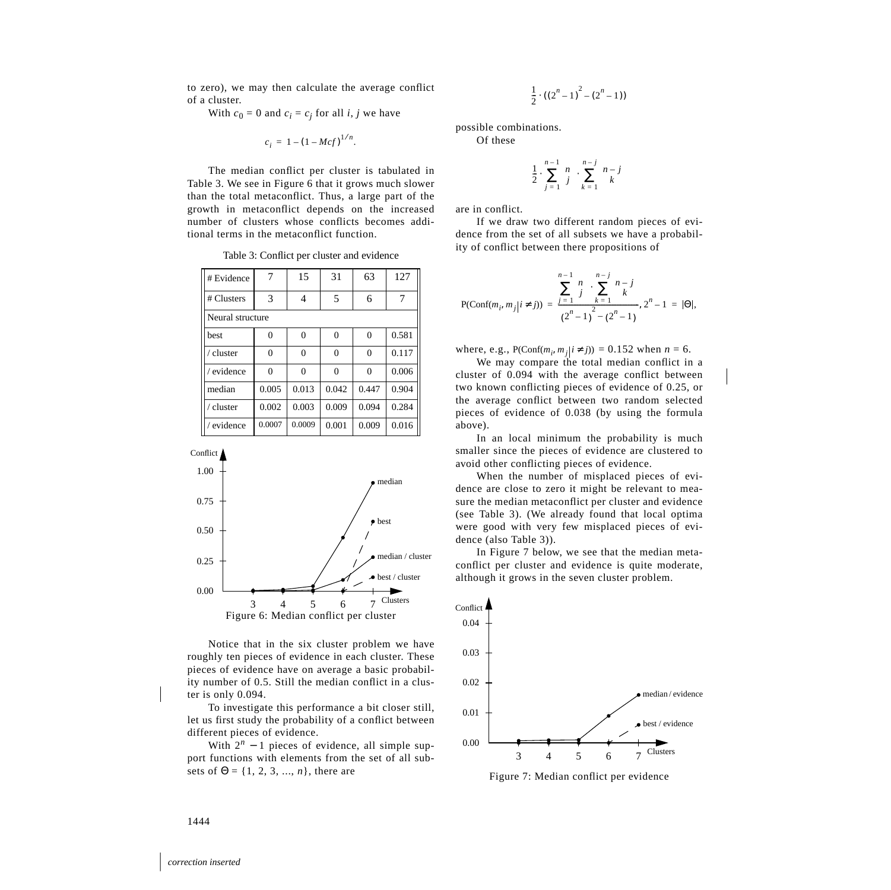to zero), we may then calculate the average conflict of a cluster.

With  $c_0 = 0$  and  $c_i = c_j$  for all *i*, *j* we have

$$
c_i = 1 - (1 - Mcf)^{1/n}.
$$

The median conflict per cluster is tabulated in Table 3. We see in Figure 6 that it grows much slower than the total metaconflict. Thus, a large part of the growth in metaconflict depends on the increased number of clusters whose conflicts becomes additional terms in the metaconflict function.

Table 3: Conflict per cluster and evidence

| # Evidence       | 7      | 15       | 31    | 63    | 127   |  |  |
|------------------|--------|----------|-------|-------|-------|--|--|
| # Clusters       | 3      | 4        | 5     | 6     | 7     |  |  |
| Neural structure |        |          |       |       |       |  |  |
| best             | 0      | 0        | 0     | 0     | 0.581 |  |  |
| / cluster        | 0      | $\Omega$ | 0     | 0     | 0.117 |  |  |
| / evidence       | 0      | 0        | 0     | 0     | 0.006 |  |  |
| median           | 0.005  | 0.013    | 0.042 | 0.447 | 0.904 |  |  |
| / cluster        | 0.002  | 0.003    | 0.009 | 0.094 | 0.284 |  |  |
| / evidence       | 0.0007 | 0.0009   | 0.001 | 0.009 | 0.016 |  |  |





Notice that in the six cluster problem we have roughly ten pieces of evidence in each cluster. These pieces of evidence have on average a basic probability number of 0.5. Still the median conflict in a cluster is only 0.094.

To investigate this performance a bit closer still, let us first study the probability of a conflict between different pieces of evidence.

With  $2^n - 1$  pieces of evidence, all simple support functions with elements from the set of all subsets of  $\Theta = \{1, 2, 3, ..., n\}$ , there are

$$
\frac{1}{2} \cdot ((2^n - 1)^2 - (2^n - 1))
$$

possible combinations.

Of these

$$
\frac{1}{2} \cdot \sum_{j=1}^{n-1} {n \choose j} \cdot \sum_{k=1}^{n-j} {n-j \choose k}
$$

are in conflict.

If we draw two different random pieces of evidence from the set of all subsets we have a probability of conflict between there propositions of

$$
P(\text{Conf}(m_i, m_j | i \neq j)) = \frac{\sum_{j=1}^{n-1} {n \choose j} \cdot \sum_{k=1}^{n-j} {n-j \choose k}}{(2^n - 1)^2 - (2^n - 1)}, 2^n - 1 = |\Theta|,
$$

where, e.g.,  $P(Conf(m_i, m_j | i \neq j)) = 0.152$  when  $n = 6$ .

We may compare the total median conflict in a cluster of 0.094 with the average conflict between two known conflicting pieces of evidence of 0.25, or the average conflict between two random selected pieces of evidence of 0.038 (by using the formula above).

In an local minimum the probability is much smaller since the pieces of evidence are clustered to avoid other conflicting pieces of evidence.

When the number of misplaced pieces of evidence are close to zero it might be relevant to measure the median metaconflict per cluster and evidence (see Table 3). (We already found that local optima were good with very few misplaced pieces of evidence (also Table 3)).

In Figure 7 below, we see that the median metaconflict per cluster and evidence is quite moderate, although it grows in the seven cluster problem.



Figure 7: Median conflict per evidence